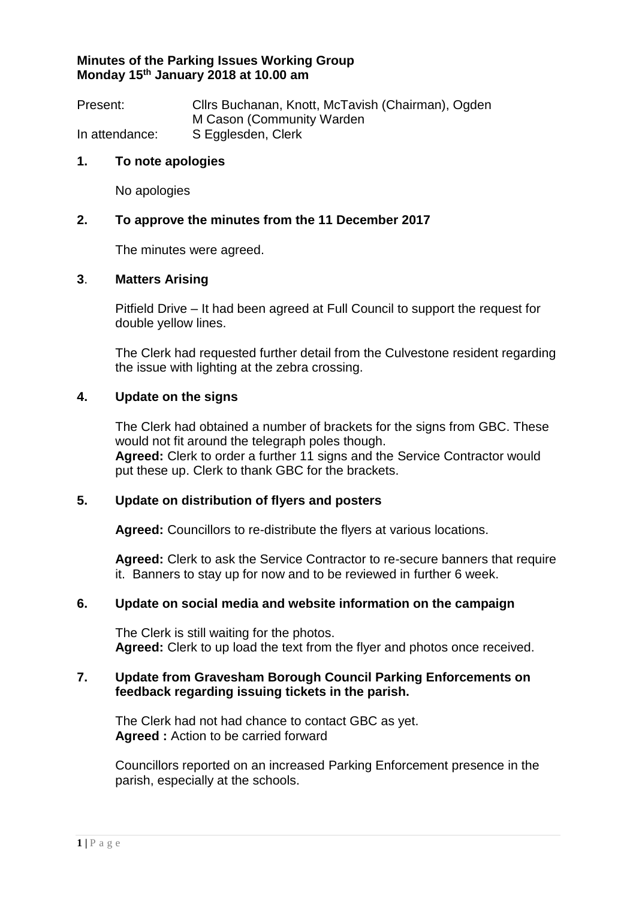# **Minutes of the Parking Issues Working Group Monday 15 th January 2018 at 10.00 am**

| Present:       | Cllrs Buchanan, Knott, McTavish (Chairman), Ogden |
|----------------|---------------------------------------------------|
|                | M Cason (Community Warden                         |
| In attendance: | S Egglesden, Clerk                                |

## **1. To note apologies**

No apologies

## **2. To approve the minutes from the 11 December 2017**

The minutes were agreed.

### **3**. **Matters Arising**

Pitfield Drive – It had been agreed at Full Council to support the request for double yellow lines.

The Clerk had requested further detail from the Culvestone resident regarding the issue with lighting at the zebra crossing.

### **4. Update on the signs**

The Clerk had obtained a number of brackets for the signs from GBC. These would not fit around the telegraph poles though. **Agreed:** Clerk to order a further 11 signs and the Service Contractor would put these up. Clerk to thank GBC for the brackets.

# **5. Update on distribution of flyers and posters**

**Agreed:** Councillors to re-distribute the flyers at various locations.

**Agreed:** Clerk to ask the Service Contractor to re-secure banners that require it. Banners to stay up for now and to be reviewed in further 6 week.

#### **6. Update on social media and website information on the campaign**

The Clerk is still waiting for the photos. **Agreed:** Clerk to up load the text from the flyer and photos once received.

## **7. Update from Gravesham Borough Council Parking Enforcements on feedback regarding issuing tickets in the parish.**

The Clerk had not had chance to contact GBC as yet. **Agreed :** Action to be carried forward

Councillors reported on an increased Parking Enforcement presence in the parish, especially at the schools.